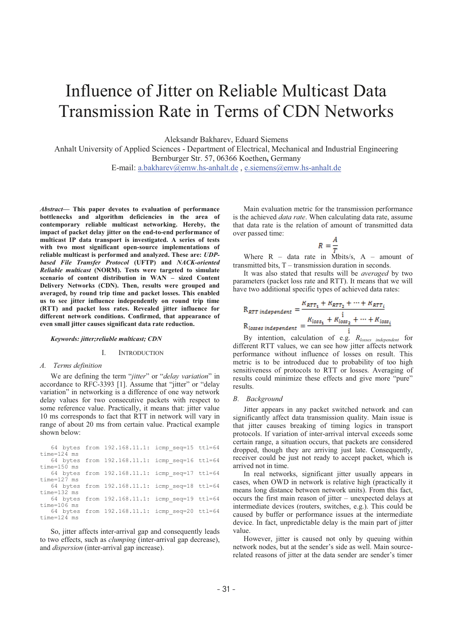# Influence of Jitter on Reliable Multicast Data Transmission Rate in Terms of CDN Networks

Aleksandr Bakharev, Eduard Siemens

Anhalt University of Applied Sciences - Department of Electrical, Mechanical and Industrial Engineering Bernburger Str. 57, 06366 Koethen**,** Germany

E-mail: a.bakharev@emw.hs-anhalt.de , e.siemens@emw.hs-anhalt.de

*Abstract***- This paper devotes to evaluation of performance bottlenecks and algorithm deficiencies in the area of contemporary reliable multicast networking. Hereby, the impact of packet delay jitter on the end-to-end performance of multicast IP data transport is investigated. A series of tests with two most significant open-source implementations of reliable multicast is performed and analyzed. These are:** *UDPbased File Transfer Protocol* **(UFTP) and** *NACK-oriented Reliable multicast* **(NORM). Tests were targeted to simulate scenario of content distribution in WAN sized Content Delivery Networks (CDN). Then, results were grouped and averaged, by round trip time and packet losses. This enabled us to see jitter influence independently on round trip time (RTT) and packet loss rates. Revealed jitter influence for different network conditions. Confirmed, that appearance of even small jitter causes significant data rate reduction.** 

## *Keywords: jitter;reliable multicast; CDN*

## I. INTRODUCTION

# *A. Terms definition*

We are defining the term "*jitter*" or "*delay variation*" in accordance to RFC-3393 [1]. Assume that "jitter" or "delay variation" in networking is a difference of one way network delay values for two consecutive packets with respect to some reference value. Practically, it means that: jitter value 10 ms corresponds to fact that RTT in network will vary in range of about 20 ms from certain value. Practical example shown below:

|                 |  | 64 bytes from 192.168.11.1: icmp seq=15 ttl=64 |  |
|-----------------|--|------------------------------------------------|--|
| time=124 ms     |  |                                                |  |
|                 |  | 64 bytes from 192.168.11.1: icmp seq=16 ttl=64 |  |
| time=150 ms     |  |                                                |  |
|                 |  | 64 bytes from 192.168.11.1: icmp seq=17 ttl=64 |  |
| time=127 ms     |  |                                                |  |
|                 |  | 64 bytes from 192.168.11.1: icmp seq=18 ttl=64 |  |
| time=132 ms     |  |                                                |  |
|                 |  | 64 bytes from 192.168.11.1: icmp seq=19 ttl=64 |  |
| time=106 ms     |  |                                                |  |
|                 |  | 64 bytes from 192.168.11.1: icmp seq=20 ttl=64 |  |
| $time = 124$ ms |  |                                                |  |

So, jitter affects inter-arrival gap and consequently leads to two effects, such as *clumping* (inter-arrival gap decrease), and *dispersion* (inter-arrival gap increase).

Main evaluation metric for the transmission performance is the achieved *data rate*. When calculating data rate, assume that data rate is the relation of amount of transmitted data over passed time:

$$
R=\frac{A}{T}
$$

Where  $R - data$  rate in Mbits/s,  $A - amount$  of transmitted bits,  $T -$  transmission duration in seconds.

It was also stated that results will be *averaged* by two parameters (packet loss rate and RTT). It means that we will have two additional specific types of achieved data rates:

$$
R_{RTT\ independent} = \frac{R_{RTT_1} + R_{RTT_2} + \dots + R_{RTT_i}}{R_{losses\ independent}} = \frac{R_{loss_1} + R_{loss_2} + \dots + R_{loss_i}}{i}
$$

By intention, calculation of e.g. *Rlosses independent* for different RTT values, we can see how jitter affects network performance without influence of losses on result. This metric is to be introduced due to probability of too high sensitiveness of protocols to RTT or losses. Averaging of results could minimize these effects and give more "pure" results.

#### *B. Background*

Jitter appears in any packet switched network and can significantly affect data transmission quality. Main issue is that jitter causes breaking of timing logics in transport protocols. If variation of inter-arrival interval exceeds some certain range, a situation occurs, that packets are considered dropped, though they are arriving just late. Consequently, receiver could be just not ready to accept packet, which is arrived not in time.

In real networks, significant jitter usually appears in cases, when OWD in network is relative high (practically it means long distance between network units). From this fact, occurs the first main reason of jitter – unexpected delays at intermediate devices (routers, switches, e.g.). This could be caused by buffer or performance issues at the intermediate device. In fact, unpredictable delay is the main part of jitter value.

However, jitter is caused not only by queuing within network nodes, but at the sender's side as well. Main sourcerelated reasons of jitter at the data sender are sender's timer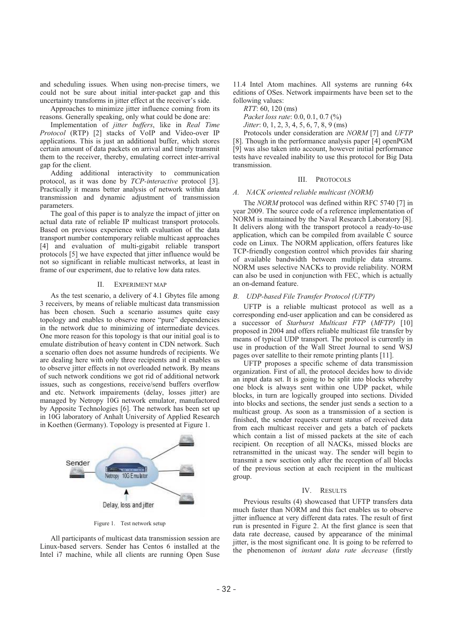and scheduling issues. When using non-precise timers, we could not be sure about initial inter-packet gap and this uncertainty transforms in jitter effect at the receiver's side.

Approaches to minimize jitter influence coming from its reasons. Generally speaking, only what could be done are:

Implementation of *jitter buffers*, like in *Real Time Protocol* (RTP) [2] stacks of VoIP and Video-over IP applications. This is just an additional buffer, which stores certain amount of data packets on arrival and timely transmit them to the receiver, thereby, emulating correct inter-arrival gap for the client.

Adding additional interactivity to communication protocol, as it was done by *TCP-interactive* protocol [3]. Practically it means better analysis of network within data transmission and dynamic adjustment of transmission parameters.

The goal of this paper is to analyze the impact of jitter on actual data rate of reliable IP multicast transport protocols. Based on previous experience with evaluation of the data transport number contemporary reliable multicast approaches [4] and evaluation of multi-gigabit reliable transport protocols [5] we have expected that jitter influence would be not so significant in reliable multicast networks, at least in frame of our experiment, due to relative low data rates.

#### II. EXPERIMENT MAP

As the test scenario, a delivery of 4.1 Gbytes file among 3 receivers, by means of reliable multicast data transmission has been chosen. Such a scenario assumes quite easy topology and enables to observe more "pure" dependencies in the network due to minimizing of intermediate devices. One more reason for this topology is that our initial goal is to emulate distribution of heavy content in CDN network. Such a scenario often does not assume hundreds of recipients. We are dealing here with only three recipients and it enables us to observe jitter effects in not overloaded network. By means of such network conditions we got rid of additional network issues, such as congestions, receive/send buffers overflow and etc. Network impairements (delay, losses jitter) are managed by Netropy 10G network emulator, manufactored by Apposite Technologies [6]. The network has been set up in 10G laboratory of Anhalt University of Applied Research in Koethen (Germany). Topology is presented at Figure 1.



Figure 1. Test network setup

All participants of multicast data transmission session are Linux-based servers. Sender has Centos 6 installed at the Intel i7 machine, while all clients are running Open Suse

11.4 Intel Atom machines. All systems are running 64x editions of OSes. Network impairments have been set to the following values:

*RTT*: 60, 120 (ms)

*Packet loss rate*: 0.0, 0.1, 0.7 (%) *Jitter*: 0, 1, 2, 3, 4, 5, 6, 7, 8, 9 (ms)

Protocols under consideration are *NORM* [7] and *UFTP* [8]. Though in the performance analysis paper [4] openPGM [9] was also taken into account, however initial performance tests have revealed inability to use this protocol for Big Data transmission.

## III. PROTOCOLS

## *A. NACK oriented reliable multicast (NORM)*

The *NORM* protocol was defined within RFC 5740 [7] in year 2009. The source code of a reference implementation of NORM is maintained by the Naval Research Laboratory [8]. It delivers along with the transport protocol a ready-to-use application, which can be compiled from available C source code on Linux. The NORM application, offers features like TCP-friendly congestion control which provides fair sharing of available bandwidth between multiple data streams. NORM uses selective NACKs to provide reliability. NORM can also be used in conjunction with FEC, which is actually an on-demand feature.

# *B. UDP-based File Transfer Protocol (UFTP)*

UFTP is a reliable multicast protocol as well as a corresponding end-user application and can be considered as a successor of *Starburst Multicast FTP* (*MFTP)* [10] proposed in 2004 and offers reliable multicast file transfer by means of typical UDP transport. The protocol is currently in use in production of the Wall Street Journal to send WSJ pages over satellite to their remote printing plants [11].

UFTP proposes a specific scheme of data transmission organization. First of all, the protocol decides how to divide an input data set. It is going to be split into blocks whereby one block is always sent within one UDP packet, while blocks, in turn are logically grouped into sections. Divided into blocks and sections, the sender just sends a section to a multicast group. As soon as a transmission of a section is finished, the sender requests current status of received data from each multicast receiver and gets a batch of packets which contain a list of missed packets at the site of each recipient. On reception of all NACKs, missed blocks are retransmitted in the unicast way. The sender will begin to transmit a new section only after the reception of all blocks of the previous section at each recipient in the multicast group.

#### IV. RESULTS

Previous results (4) showcased that UFTP transfers data much faster than NORM and this fact enables us to observe jitter influence at very different data rates. The result of first run is presented in Figure 2. At the first glance is seen that data rate decrease, caused by appearance of the minimal jitter, is the most significant one. It is going to be referred to the phenomenon of *instant data rate decrease* (firstly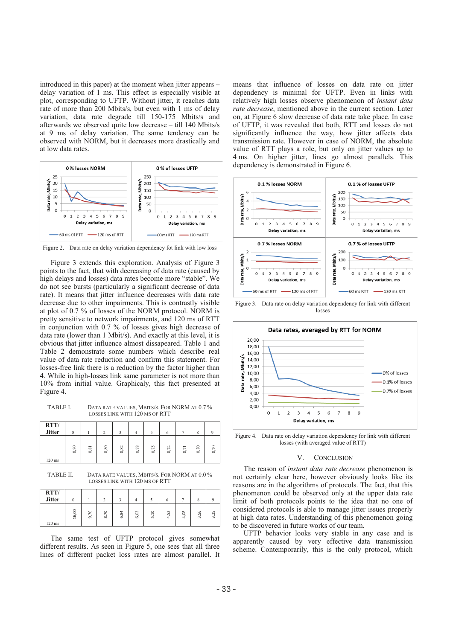introduced in this paper) at the moment when jitter appears – delay variation of 1 ms. This effect is especially visible at plot, corresponding to UFTP. Without jitter, it reaches data rate of more than 200 Mbits/s, but even with 1 ms of delay variation, data rate degrade till 150-175 Mbits/s and afterwards we observed quite low decrease – till 140 Mbits/s at 9 ms of delay variation. The same tendency can be observed with NORM, but it decreases more drastically and at low data rates.



Figure 2. Data rate on delay variation dependency fot link with low loss

Figure 3 extends this exploration. Analysis of Figure 3 points to the fact, that with decreasing of data rate (caused by high delays and losses) data rates become more "stable". We do not see bursts (particularly a significant decrease of data rate). It means that jitter influence decreases with data rate decrease due to other impairments. This is contrastly visible at plot of 0.7 % of losses of the NORM protocol. NORM is pretty sensitive to network impairments, and 120 ms of RTT in conjunction with 0.7 % of losses gives high decrease of data rate (lower than 1 Mbit/s). And exactly at this level, it is obvious that jitter influence almost dissapeared. Table 1 and Table 2 demonstrate some numbers which describe real value of data rate reduction and confirm this statement. For losses-free link there is a reduction by the factor higher than 4. While in high-losses link same parameter is not more than 10% from initial value. Graphicaly, this fact presented at Figure 4.

TABLE I. DATA RATE VALUES, MBITS/S. FOR NORM AT 0.7 % LOSSES LINK WITH 120 MS OF RTT

| RTT/<br><b>Jitter</b> |      |      | $\bigcap$ |      |      |                        | o                   |      | $\circ$      |      |
|-----------------------|------|------|-----------|------|------|------------------------|---------------------|------|--------------|------|
| $120$ ms              | 0,80 | 0,81 | 0,80      | 0,82 | 0,78 | 57<br><b>1999</b><br>6 | $\overline{7}$<br>ဲ | 0,71 | 70<br>$\sim$ | 0,70 |

TABLE II. DATA RATE VALUES, MBITS/S. FOR NORM AT 0.0 % LOSSES LINK WITH 120 MS OF RTT

| RTT/<br><b>Jitter</b> | 0     |                        |                     |      | Δ    |                            |                                        |          | $\circ$<br>Λ   |      |
|-----------------------|-------|------------------------|---------------------|------|------|----------------------------|----------------------------------------|----------|----------------|------|
| $120$ ms              | 16,00 | $\circ$<br>↖<br>۰<br>െ | $\circ$<br>$\infty$ | 6,84 | 6,02 | $\Xi$<br>- 5<br><u>เก่</u> | $\sim$<br>LO<br>- 11<br>$\overline{a}$ | 80<br>ਚੇ | 56<br>$\infty$ | 3,25 |

The same test of UFTP protocol gives somewhat different results. As seen in Figure 5, one sees that all three lines of different packet loss rates are almost parallel. It means that influence of losses on data rate on jitter dependency is minimal for UFTP. Even in links with relatively high losses observe phenomenon of *instant data rate decrease*, mentioned above in the current section. Later on, at Figure 6 slow decrease of data rate take place. In case of UFTP, it was revealed that both, RTT and losses do not significantly influence the way, how jitter affects data transmission rate. However in case of NORM, the absolute value of RTT plays a role, but only on jitter values up to 4 ms. On higher jitter, lines go almost parallels. This dependency is demonstrated in Figure 6.



Figure 3. Data rate on delay variation dependency for link with different losses



Figure 4. Data rate on delay variation dependency for link with different losses (with averaged value of RTT)

#### V. CONCLUSION

The reason of *instant data rate decrease* phenomenon is not certainly clear here, however obviously looks like its reasons are in the algorithms of protocols. The fact, that this phenomenon could be observed only at the upper data rate limit of both protocols points to the idea that no one of considered protocols is able to manage jitter issues properly at high data rates. Understanding of this phenomenon going to be discovered in future works of our team.

UFTP behavior looks very stable in any case and is apparently caused by very effective data transmission scheme. Contemporarily, this is the only protocol, which